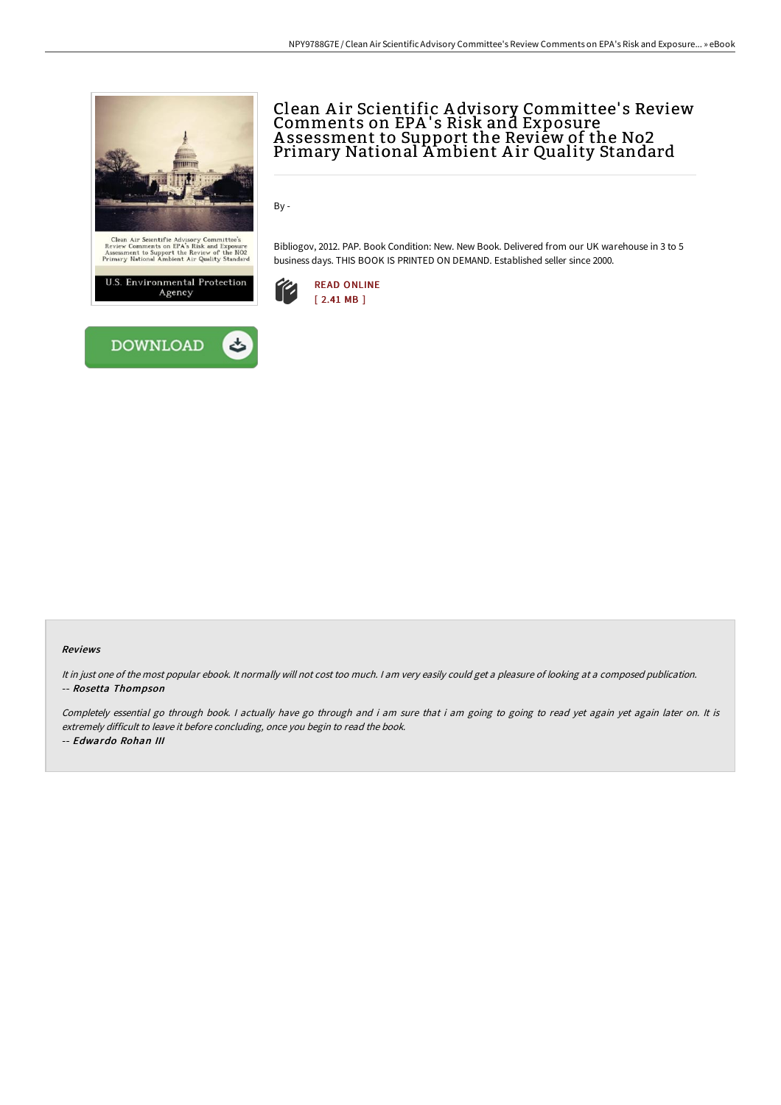



# Clean A ir Scientific A dvisory Committee' s Review Comments on EPA's Risk and Exposure A ssessment to Support the Review of the No2 Primary National Ambient A ir Quality Standard

By -

Bibliogov, 2012. PAP. Book Condition: New. New Book. Delivered from our UK warehouse in 3 to 5 business days. THIS BOOK IS PRINTED ON DEMAND. Established seller since 2000.



## Reviews

It in just one of the most popular ebook. It normally will not cost too much. <sup>I</sup> am very easily could get <sup>a</sup> pleasure of looking at <sup>a</sup> composed publication. -- Rosetta Thompson

Completely essential go through book. I actually have go through and i am sure that i am going to going to read yet again yet again later on. It is extremely difficult to leave it before concluding, once you begin to read the book.

-- Edwardo Rohan III